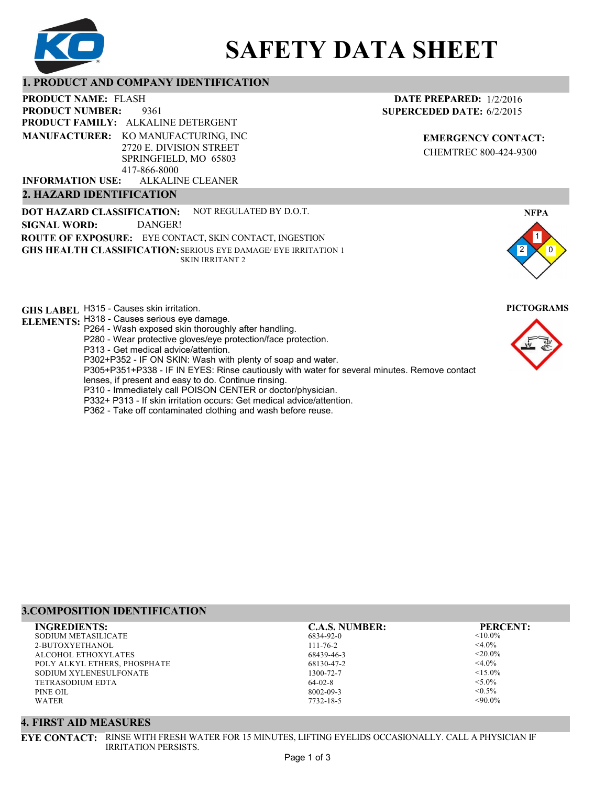

# **SAFETY DATA SHEET**

# **1. PRODUCT AND COMPANY IDENTIFICATION**

9361 PRODUCT NAME: FLASH **PRODUCT FAMILY: ALKALINE DETERGENT** ALKALINE CLEANER **PRODUCT NUMBER: MANUFACTURER:** KO MANUFACTURING, INC 2720 E. DIVISION STREET SPRINGFIELD, MO 65803 417-866-8000 **INFORMATION USE:**

#### **2. HAZARD IDENTIFICATION**

**DOT HAZARD CLASSIFICATION: GHS HEALTH CLASSIFICATION:** SERIOUS EYE DAMAGE/ EYE IRRITATION 1 **ROUTE OF EXPOSURE:** EYE CONTACT, SKIN CONTACT, INGESTION NOT REGULATED BY D.O.T. SKIN IRRITANT 2 **SIGNAL WORD:** DANGER!

**GHS LABEL**  H315 - Causes skin irritation. **PICTOGRAMS**

- **ELEMENTS:** H318 Causes serious eye damage.
	- P264 Wash exposed skin thoroughly after handling.
	- P280 Wear protective gloves/eye protection/face protection.
	- P313 Get medical advice/attention.
	- P302+P352 IF ON SKIN: Wash with plenty of soap and water.

P305+P351+P338 - IF IN EYES: Rinse cautiously with water for several minutes. Remove contact

- lenses, if present and easy to do. Continue rinsing.
- P310 Immediately call POISON CENTER or doctor/physician.
- P332+ P313 If skin irritation occurs: Get medical advice/attention.
- P362 Take off contaminated clothing and wash before reuse.

# **DATE PREPARED:** 1/2/2016 **SUPERCEDED DATE:** 6/2/2015

**EMERGENCY CONTACT:** CHEMTREC 800-424-9300



# **3.COMPOSITION IDENTIFICATION**

| <b>C.A.S. NUMBER:</b> | <b>PERCENT:</b> |
|-----------------------|-----------------|
| 6834-92-0             | $< 10.0\%$      |
| $111 - 76 - 2$        | $<$ 4.0%        |
| 68439-46-3            | $<$ 20.0%       |
| 68130-47-2            | $<$ 4.0%        |
| 1300-72-7             | $< 15.0\%$      |
| $64-02-8$             | $< 5.0\%$       |
| 8002-09-3             | $\leq 0.5\%$    |
| 7732-18-5             | $< 90.0\%$      |
|                       |                 |

#### **4. FIRST AID MEASURES**

**EYE CONTACT:** RINSE WITH FRESH WATER FOR 15 MINUTES, LIFTING EYELIDS OCCASIONALLY. CALL A PHYSICIAN IF IRRITATION PERSISTS.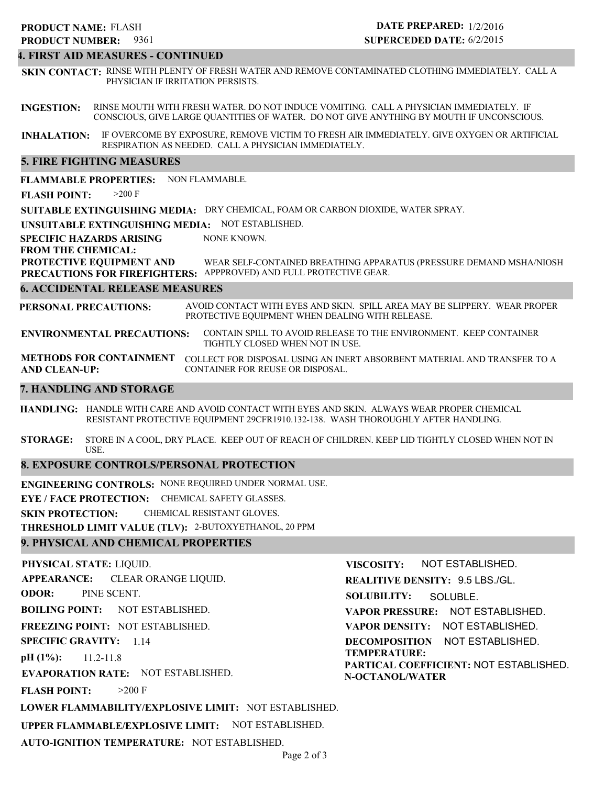# 9361 **PRODUCT NUMBER: PRODUCT NAME: FLASH**

# **DATE PREPARED:** 1/2/2016 **SUPERCEDED DATE:** 6/2/2015

### **4. FIRST AID MEASURES - CONTINUED**

**SKIN CONTACT:** RINSE WITH PLENTY OF FRESH WATER AND REMOVE CONTAMINATED CLOTHING IMMEDIATELY. CALL A PHYSICIAN IF IRRITATION PERSISTS.

**INGESTION:** RINSE MOUTH WITH FRESH WATER. DO NOT INDUCE VOMITING. CALL A PHYSICIAN IMMEDIATELY. IF CONSCIOUS, GIVE LARGE QUANTITIES OF WATER. DO NOT GIVE ANYTHING BY MOUTH IF UNCONSCIOUS.

**INHALATION:** IF OVERCOME BY EXPOSURE, REMOVE VICTIM TO FRESH AIR IMMEDIATELY. GIVE OXYGEN OR ARTIFICIAL RESPIRATION AS NEEDED. CALL A PHYSICIAN IMMEDIATELY.

#### **5. FIRE FIGHTING MEASURES**

**FLAMMABLE PROPERTIES:** NON FLAMMABLE.

**FLASH POINT:** >200 F

**SUITABLE EXTINGUISHING MEDIA:** DRY CHEMICAL, FOAM OR CARBON DIOXIDE, WATER SPRAY.

**UNSUITABLE EXTINGUISHING MEDIA:** NOT ESTABLISHED.

**SPECIFIC HAZARDS ARISING** NONE KNOWN.

**FROM THE CHEMICAL:**

**PROTECTIVE EQUIPMENT AND PRECAUTIONS FOR FIREFIGHTERS:** APPPROVED) AND FULL PROTECTIVE GEAR. WEAR SELF-CONTAINED BREATHING APPARATUS (PRESSURE DEMAND MSHA/NIOSH

#### **6. ACCIDENTAL RELEASE MEASURES**

**PERSONAL PRECAUTIONS:** AVOID CONTACT WITH EYES AND SKIN. SPILL AREA MAY BE SLIPPERY. WEAR PROPER PROTECTIVE EQUIPMENT WHEN DEALING WITH RELEASE.

**ENVIRONMENTAL PRECAUTIONS:** CONTAIN SPILL TO AVOID RELEASE TO THE ENVIRONMENT. KEEP CONTAINER TIGHTLY CLOSED WHEN NOT IN USE.

**METHODS FOR CONTAINMENT** COLLECT FOR DISPOSAL USING AN INERT ABSORBENT MATERIAL AND TRANSFER TO A **AND CLEAN-UP:** CONTAINER FOR REUSE OR DISPOSAL.

#### **7. HANDLING AND STORAGE**

**HANDLING:** HANDLE WITH CARE AND AVOID CONTACT WITH EYES AND SKIN. ALWAYS WEAR PROPER CHEMICAL RESISTANT PROTECTIVE EQUIPMENT 29CFR1910.132-138. WASH THOROUGHLY AFTER HANDLING.

**STORAGE:** STORE IN A COOL, DRY PLACE. KEEP OUT OF REACH OF CHILDREN. KEEP LID TIGHTLY CLOSED WHEN NOT IN USE.

#### **8. EXPOSURE CONTROLS/PERSONAL PROTECTION**

**ENGINEERING CONTROLS:** NONE REQUIRED UNDER NORMAL USE.

**EYE / FACE PROTECTION:** CHEMICAL SAFETY GLASSES.

**SKIN PROTECTION:** CHEMICAL RESISTANT GLOVES.

**THRESHOLD LIMIT VALUE (TLV):** 2-BUTOXYETHANOL, 20 PPM

#### **9. PHYSICAL AND CHEMICAL PROPERTIES**

**PHYSICAL STATE:** LIQUID. **APPEARANCE: ODOR: BOILING POINT:** NOT ESTABLISHED. **FREEZING POINT:** NOT ESTABLISHED. **SPECIFIC GRAVITY:** 1.14 **pH (1%): EVAPORATION RATE:** NOT ESTABLISHED. **FLASH POINT: LOWER FLAMMABILITY/EXPLOSIVE LIMIT:** NOT ESTABLISHED. **UPPER FLAMMABLE/EXPLOSIVE LIMIT:** NOT ESTABLISHED. 11.2-11.8  $>200$  F CLEAR ORANGE LIQUID. PINE SCENT. **VISCOSITY: REALITIVE DENSITY:** 9.5 LBS./GL. **SOLUBILITY: VAPOR PRESSURE:** NOT ESTABLISHED. **VAPOR DENSITY:** NOT ESTABLISHED. **DECOMPOSITION** NOT ESTABLISHED. **TEMPERATURE: PARTICAL COEFFICIENT:** NOT ESTABLISHED. **N-OCTANOL/WATER** NOT ESTABLISHED. SOLUBLE.

**AUTO-IGNITION TEMPERATURE:** NOT ESTABLISHED.